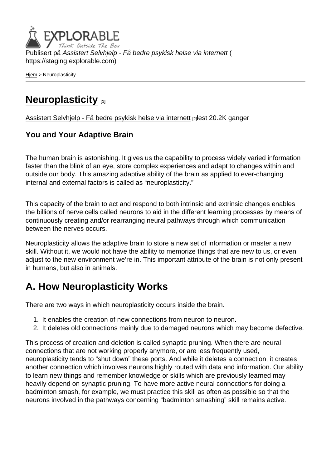Publisert på Assistert Selvhjelp - Få bedre psykisk helse via internett ( <https://staging.explorable.com>)

[Hjem](https://staging.explorable.com/) > Neuroplasticity

## [Neuroplasticity](https://staging.explorable.com/neuroplasticity) [1]

[Assistert Selvhjelp - Få bedre psykisk helse via internett](https://staging.explorable.com/en) [2] lest 20.2K ganger

#### You and Your Adaptive Brain

The human brain is astonishing. It gives us the capability to process widely varied information faster than the blink of an eye, store complex experiences and adapt to changes within and outside our body. This amazing adaptive ability of the brain as applied to ever-changing internal and external factors is called as "neuroplasticity."

This capacity of the brain to act and respond to both intrinsic and extrinsic changes enables the billions of nerve cells called neurons to aid in the different learning processes by means of continuously creating and/or rearranging neural pathways through which communication between the nerves occurs.

Neuroplasticity allows the adaptive brain to store a new set of information or master a new skill. Without it, we would not have the ability to memorize things that are new to us, or even adjust to the new environment we're in. This important attribute of the brain is not only present in humans, but also in animals.

## A. How Neuroplasticity Works

There are two ways in which neuroplasticity occurs inside the brain.

- 1. It enables the creation of new connections from neuron to neuron.
- 2. It deletes old connections mainly due to damaged neurons which may become defective.

This process of creation and deletion is called synaptic pruning. When there are neural connections that are not working properly anymore, or are less frequently used, neuroplasticity tends to "shut down" these ports. And while it deletes a connection, it creates another connection which involves neurons highly routed with data and information. Our ability to learn new things and remember knowledge or skills which are previously learned may heavily depend on synaptic pruning. To have more active neural connections for doing a badminton smash, for example, we must practice this skill as often as possible so that the neurons involved in the pathways concerning "badminton smashing" skill remains active.